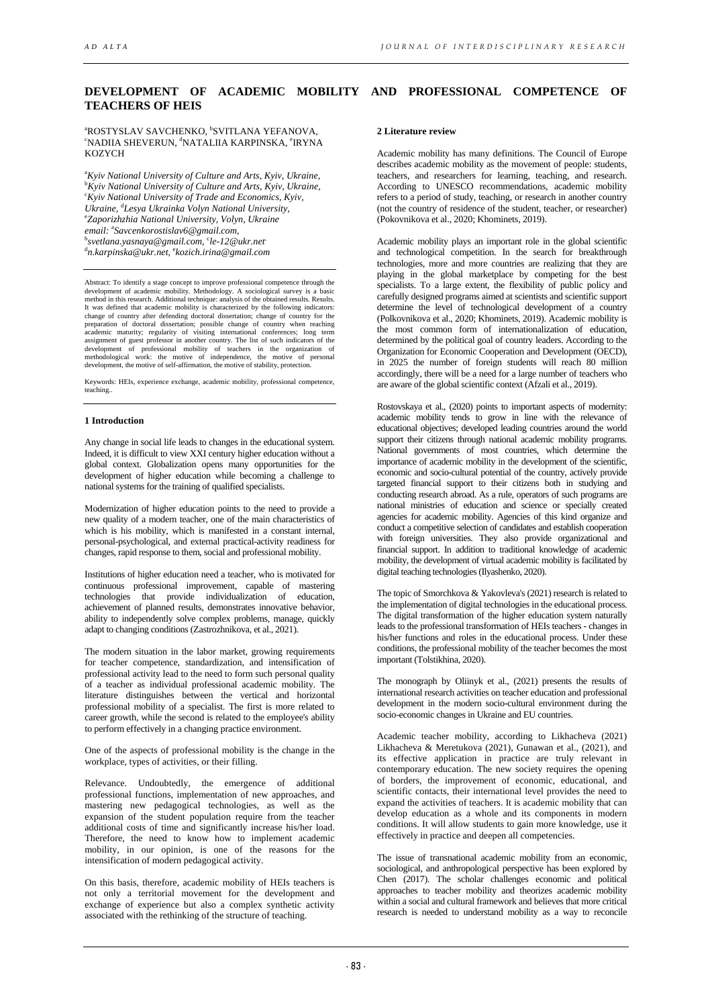## **DEVELOPMENT OF ACADEMIC MOBILITY AND PROFESSIONAL COMPETENCE OF TEACHERS OF HEIS**

<sup>a</sup>rostyslav Savchenko, <sup>b</sup>svitlana yefanova,<br>«Nadija shevedlin «Natalija kaddinska «Idvna NADIIA SHEVERUN, <sup>@</sup>NATALIIA KARPINSKA, °IRYNA KOZYCH

<sup>a</sup>Kyiv National University of Culture and Arts, Kyiv, Ukraine, b *Kyiv National University of Culture and Arts, Kyiv, Ukraine,* c *Kyiv National University of Trade and Economics, Kyiv, Ukraine,* <sup>d</sup> *Lesya Ukrainka Volyn National University,* e *Zaporizhzhia National University, Volyn, Ukraine email:*  a *Savcenkorostislav6@gmail.com,* b *svetlana.yasnaya@gmail.com,* <sup>c</sup> *le-12@ukr.net*, d *n.karpinska@ukr.net,* <sup>e</sup> *kozich.irina@gmail.com* 

Abstract: To identify a stage concept to improve professional competence through the development of academic mobility. Methodology. A sociological survey is a basic method in this research. Additional technique: analysis of the obtained results. Results. It was defined that academic mobility is characterized by the following indicators: change of country after defending doctoral dissertation; change of country for the preparation of doctoral dissertation; possible change of country when reaching academic maturity; regularity of visiting international conferences; long term assignment of guest professor in another country. The list of such indicators of the development of professional mobility of teachers in the organization of methodological work: the motive of independence, the motive of pe

Keywords: HEIs, experience exchange, academic mobility, professional competence, teaching..

#### **1 Introduction**

Any change in social life leads to changes in the educational system. Indeed, it is difficult to view XXI century higher education without a global context. Globalization opens many opportunities for the development of higher education while becoming a challenge to national systems for the training of qualified specialists.

Modernization of higher education points to the need to provide a new quality of a modern teacher, one of the main characteristics of which is his mobility, which is manifested in a constant internal, personal-psychological, and external practical-activity readiness for changes, rapid response to them, social and professional mobility.

Institutions of higher education need a teacher, who is motivated for continuous professional improvement, capable of mastering technologies that provide individualization of education, achievement of planned results, demonstrates innovative behavior, ability to independently solve complex problems, manage, quickly adapt to changing conditions (Zastrozhnikova, et al., 2021).

The modern situation in the labor market, growing requirements for teacher competence, standardization, and intensification of professional activity lead to the need to form such personal quality of a teacher as individual professional academic mobility. The literature distinguishes between the vertical and horizontal professional mobility of a specialist. The first is more related to career growth, while the second is related to the employee's ability to perform effectively in a changing practice environment.

One of the aspects of professional mobility is the change in the workplace, types of activities, or their filling.

Relevance. Undoubtedly, the emergence of additional professional functions, implementation of new approaches, and mastering new pedagogical technologies, as well as the expansion of the student population require from the teacher additional costs of time and significantly increase his/her load. Therefore, the need to know how to implement academic mobility, in our opinion, is one of the reasons for the intensification of modern pedagogical activity.

On this basis, therefore, academic mobility of HEIs teachers is not only a territorial movement for the development and exchange of experience but also a complex synthetic activity associated with the rethinking of the structure of teaching.

### **2 Literature review**

Academic mobility has many definitions. The Council of Europe describes academic mobility as the movement of people: students, teachers, and researchers for learning, teaching, and research. According to UNESCO recommendations, academic mobility refers to a period of study, teaching, or research in another country (not the country of residence of the student, teacher, or researcher) (Pokovnikova et al., 2020; Khominets, 2019).

Academic mobility plays an important role in the global scientific and technological competition. In the search for breakthrough technologies, more and more countries are realizing that they are playing in the global marketplace by competing for the best specialists. To a large extent, the flexibility of public policy and carefully designed programs aimed at scientists and scientific support determine the level of technological development of a country (Polkovnikova et al., 2020; Khominets, 2019). Academic mobility is the most common form of internationalization of education, determined by the political goal of country leaders. According to the Organization for Economic Cooperation and Development (OECD), in 2025 the number of foreign students will reach 80 million accordingly, there will be a need for a large number of teachers who are aware of the global scientific context (Afzali et al., 2019).

Rostovskaya et al., (2020) points to important aspects of modernity: academic mobility tends to grow in line with the relevance of educational objectives; developed leading countries around the world support their citizens through national academic mobility programs. National governments of most countries, which determine the importance of academic mobility in the development of the scientific, economic and socio-cultural potential of the country, actively provide targeted financial support to their citizens both in studying and conducting research abroad. As a rule, operators of such programs are national ministries of education and science or specially created agencies for academic mobility. Agencies of this kind organize and conduct a competitive selection of candidates and establish cooperation with foreign universities. They also provide organizational and financial support. In addition to traditional knowledge of academic mobility, the development of virtual academic mobility is facilitated by digital teaching technologies (Ilyashenko, 2020).

The topic of Smorchkova & Yakovleva's (2021) research is related to the implementation of digital technologies in the educational process. The digital transformation of the higher education system naturally leads to the professional transformation of HEIs teachers - changes in his/her functions and roles in the educational process. Under these conditions, the professional mobility of the teacher becomes the most important (Tolstikhina, 2020).

The monograph by Oliinyk et al., (2021) presents the results of international research activities on teacher education and professional development in the modern socio-cultural environment during the socio-economic changes in Ukraine and EU countries.

Academic teacher mobility, according to Likhacheva (2021) Likhacheva & Meretukova (2021), Gunawan et al., (2021), and its effective application in practice are truly relevant in contemporary education. The new society requires the opening of borders, the improvement of economic, educational, and scientific contacts, their international level provides the need to expand the activities of teachers. It is academic mobility that can develop education as a whole and its components in modern conditions. It will allow students to gain more knowledge, use it effectively in practice and deepen all competencies.

The issue of transnational academic mobility from an economic, sociological, and anthropological perspective has been explored by Chen (2017). The scholar challenges economic and political approaches to teacher mobility and theorizes academic mobility within a social and cultural framework and believes that more critical research is needed to understand mobility as a way to reconcile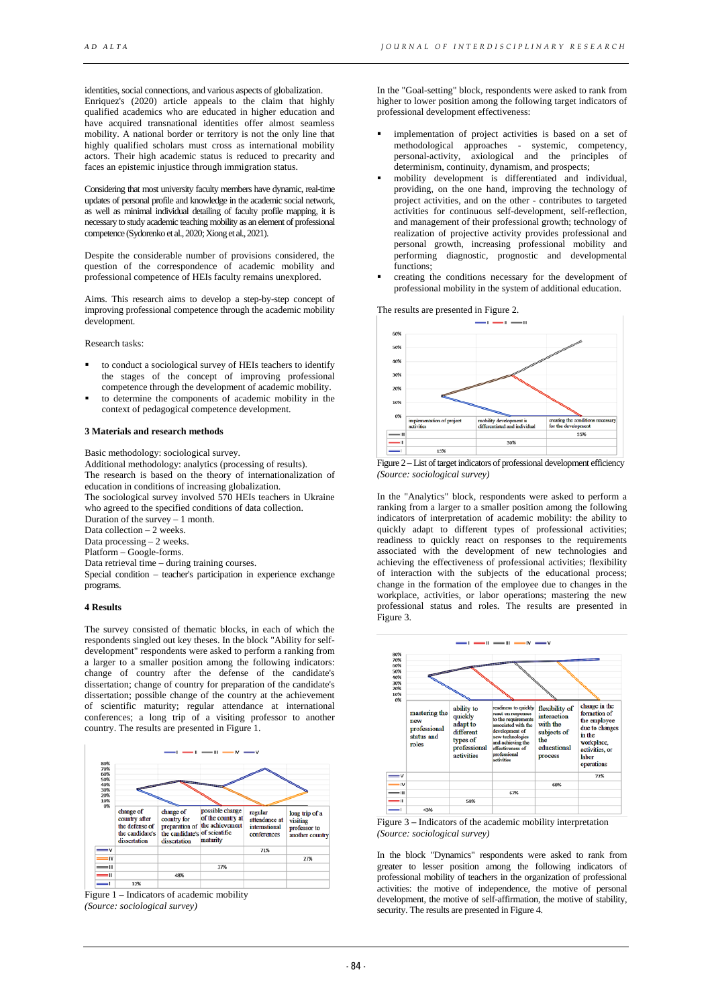identities, social connections, and various aspects of globalization. Enriquez's (2020) article appeals to the claim that highly qualified academics who are educated in higher education and have acquired transnational identities offer almost seamless mobility. A national border or territory is not the only line that highly qualified scholars must cross as international mobility actors. Their high academic status is reduced to precarity and faces an epistemic injustice through immigration status.

Considering that most university faculty members have dynamic, real-time updates of personal profile and knowledge in the academic social network, as well as minimal individual detailing of faculty profile mapping, it is necessary to study academic teaching mobility as an element of professional competence (Sydorenko et al., 2020; Xiong et al., 2021).

Despite the considerable number of provisions considered, the question of the correspondence of academic mobility and professional competence of HEIs faculty remains unexplored.

Aims. This research aims to develop a step-by-step concept of improving professional competence through the academic mobility development.

Research tasks:

- to conduct a sociological survey of HEIs teachers to identify the stages of the concept of improving professional competence through the development of academic mobility.
- to determine the components of academic mobility in the context of pedagogical competence development.

#### **3 Materials and research methods**

Basic methodology: sociological survey. Additional methodology: analytics (processing of results). The research is based on the theory of internationalization of education in conditions of increasing globalization. The sociological survey involved 570 HEIs teachers in Ukraine who agreed to the specified conditions of data collection. Duration of the survey – 1 month. Data collection – 2 weeks. Data processing – 2 weeks. Platform – Google-forms. Data retrieval time – during training courses. Special condition – teacher's participation in experience exchange programs.

#### **4 Results**

The survey consisted of thematic blocks, in each of which the respondents singled out key theses. In the block "Ability for selfdevelopment" respondents were asked to perform a ranking from a larger to a smaller position among the following indicators: change of country after the defense of the candidate's dissertation; change of country for preparation of the candidate's dissertation; possible change of the country at the achievement of scientific maturity; regular attendance at international conferences; a long trip of a visiting professor to another country. The results are presented in Figure 1.



Figure 1 **–** Indicators of academic mobility *(Source: sociological survey)*

In the "Goal-setting" block, respondents were asked to rank from higher to lower position among the following target indicators of professional development effectiveness:

- implementation of project activities is based on a set of methodological approaches - systemic, competency, personal-activity, axiological and the principles of determinism, continuity, dynamism, and prospects;
- mobility development is differentiated and individual, providing, on the one hand, improving the technology of project activities, and on the other - contributes to targeted activities for continuous self-development, self-reflection, and management of their professional growth; technology of realization of projective activity provides professional and personal growth, increasing professional mobility and performing diagnostic, prognostic and developmental functions;
- creating the conditions necessary for the development of professional mobility in the system of additional education.

The results are presented in Figure 2.



Figure 2 – List of target indicators of professional development efficiency *(Source: sociological survey)*

In the "Analytics" block, respondents were asked to perform a ranking from a larger to a smaller position among the following indicators of interpretation of academic mobility: the ability to quickly adapt to different types of professional activities; readiness to quickly react on responses to the requirements associated with the development of new technologies and achieving the effectiveness of professional activities; flexibility of interaction with the subjects of the educational process; change in the formation of the employee due to changes in the workplace, activities, or labor operations; mastering the new professional status and roles. The results are presented in Figure 3.



Figure 3 **–** Indicators of the academic mobility interpretation *(Source: sociological survey)*

In the block "Dynamics" respondents were asked to rank from greater to lesser position among the following indicators of professional mobility of teachers in the organization of professional activities: the motive of independence, the motive of personal development, the motive of self-affirmation, the motive of stability, security. The results are presented in Figure 4.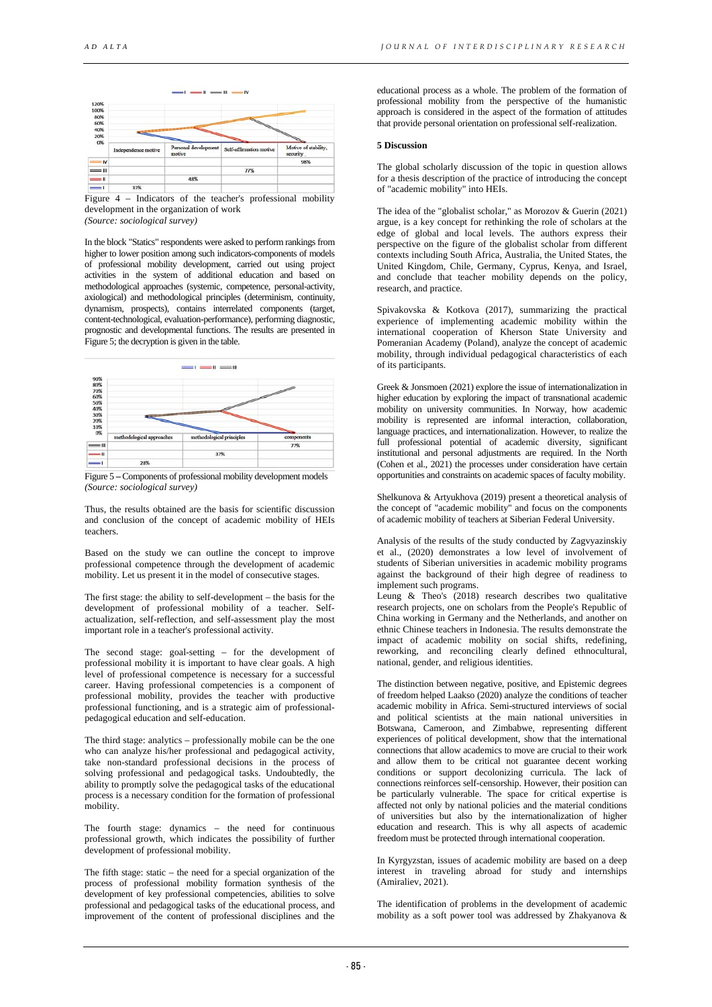

Figure 4 – Indicators of the teacher's professional mobility development in the organization of work *(Source: sociological survey)*

In the block "Statics" respondents were asked to perform rankings from higher to lower position among such indicators-components of models of professional mobility development, carried out using project activities in the system of additional education and based on methodological approaches (systemic, competence, personal-activity, axiological) and methodological principles (determinism, continuity, dynamism, prospects), contains interrelated components (target, content-technological, evaluation-performance), performing diagnostic, prognostic and developmental functions. The results are presented in Figure 5; the decryption is given in the table.



Figure 5 **–** Components of professional mobility development models *(Source: sociological survey)*

Thus, the results obtained are the basis for scientific discussion and conclusion of the concept of academic mobility of HEIs teachers.

Based on the study we can outline the concept to improve professional competence through the development of academic mobility. Let us present it in the model of consecutive stages.

The first stage: the ability to self-development – the basis for the development of professional mobility of a teacher. Selfactualization, self-reflection, and self-assessment play the most important role in a teacher's professional activity.

The second stage: goal-setting – for the development of professional mobility it is important to have clear goals. A high level of professional competence is necessary for a successful career. Having professional competencies is a component of professional mobility, provides the teacher with productive professional functioning, and is a strategic aim of professionalpedagogical education and self-education.

The third stage: analytics – professionally mobile can be the one who can analyze his/her professional and pedagogical activity, take non-standard professional decisions in the process of solving professional and pedagogical tasks. Undoubtedly, the ability to promptly solve the pedagogical tasks of the educational process is a necessary condition for the formation of professional mobility.

The fourth stage: dynamics – the need for continuous professional growth, which indicates the possibility of further development of professional mobility.

The fifth stage: static – the need for a special organization of the process of professional mobility formation synthesis of the development of key professional competencies, abilities to solve professional and pedagogical tasks of the educational process, and improvement of the content of professional disciplines and the

educational process as a whole. The problem of the formation of professional mobility from the perspective of the humanistic approach is considered in the aspect of the formation of attitudes that provide personal orientation on professional self-realization.

#### **5 Discussion**

The global scholarly discussion of the topic in question allows for a thesis description of the practice of introducing the concept of "academic mobility" into HEIs.

The idea of the "globalist scholar," as Morozov & Guerin (2021) argue, is a key concept for rethinking the role of scholars at the edge of global and local levels. The authors express their perspective on the figure of the globalist scholar from different contexts including South Africa, Australia, the United States, the United Kingdom, Chile, Germany, Cyprus, Kenya, and Israel, and conclude that teacher mobility depends on the policy, research, and practice.

Spivakovska & Kotkova (2017), summarizing the practical experience of implementing academic mobility within the international cooperation of Kherson State University and Pomeranian Academy (Poland), analyze the concept of academic mobility, through individual pedagogical characteristics of each of its participants.

Greek & Jonsmoen (2021) explore the issue of internationalization in higher education by exploring the impact of transnational academic mobility on university communities. In Norway, how academic mobility is represented are informal interaction, collaboration, language practices, and internationalization. However, to realize the full professional potential of academic diversity, significant institutional and personal adjustments are required. In the North (Cohen et al., 2021) the processes under consideration have certain opportunities and constraints on academic spaces of faculty mobility.

Shelkunova & Artyukhova (2019) present a theoretical analysis of the concept of "academic mobility" and focus on the components of academic mobility of teachers at Siberian Federal University.

Analysis of the results of the study conducted by Zagvyazinskiy et al., (2020) demonstrates a low level of involvement of students of Siberian universities in academic mobility programs against the background of their high degree of readiness to implement such programs.

Leung  $\&$  Theo's (2018) research describes two qualitative research projects, one on scholars from the People's Republic of China working in Germany and the Netherlands, and another on ethnic Chinese teachers in Indonesia. The results demonstrate the impact of academic mobility on social shifts, redefining, reworking, and reconciling clearly defined ethnocultural, national, gender, and religious identities.

The distinction between negative, positive, and Epistemic degrees of freedom helped Laakso (2020) analyze the conditions of teacher academic mobility in Africa. Semi-structured interviews of social and political scientists at the main national universities in Botswana, Cameroon, and Zimbabwe, representing different experiences of political development, show that the international connections that allow academics to move are crucial to their work and allow them to be critical not guarantee decent working conditions or support decolonizing curricula. The lack of connections reinforces self-censorship. However, their position can be particularly vulnerable. The space for critical expertise is affected not only by national policies and the material conditions of universities but also by the internationalization of higher education and research. This is why all aspects of academic freedom must be protected through international cooperation.

In Kyrgyzstan, issues of academic mobility are based on a deep interest in traveling abroad for study and internships (Amiraliev, 2021).

The identification of problems in the development of academic mobility as a soft power tool was addressed by Zhakyanova &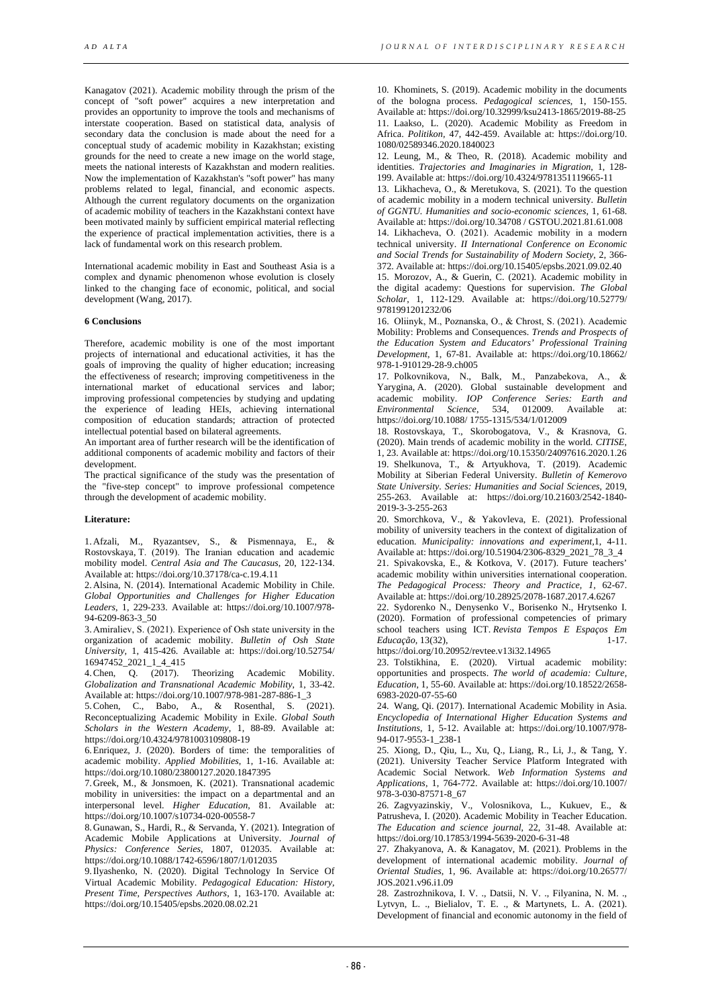Kanagatov (2021). Academic mobility through the prism of the concept of "soft power" acquires a new interpretation and provides an opportunity to improve the tools and mechanisms of interstate cooperation. Based on statistical data, analysis of secondary data the conclusion is made about the need for a conceptual study of academic mobility in Kazakhstan; existing grounds for the need to create a new image on the world stage, meets the national interests of Kazakhstan and modern realities. Now the implementation of Kazakhstan's "soft power" has many problems related to legal, financial, and economic aspects. Although the current regulatory documents on the organization of academic mobility of teachers in the Kazakhstani context have been motivated mainly by sufficient empirical material reflecting the experience of practical implementation activities, there is a lack of fundamental work on this research problem.

International academic mobility in East and Southeast Asia is a complex and dynamic phenomenon whose evolution is closely linked to the changing face of economic, political, and social development (Wang, 2017).

#### **6 Conclusions**

Therefore, academic mobility is one of the most important projects of international and educational activities, it has the goals of improving the quality of higher education; increasing the effectiveness of research; improving competitiveness in the international market of educational services and labor; improving professional competencies by studying and updating the experience of leading HEIs, achieving international composition of education standards; attraction of protected intellectual potential based on bilateral agreements.

An important area of further research will be the identification of additional components of academic mobility and factors of their development.

The practical significance of the study was the presentation of the "five-step concept" to improve professional competence through the development of academic mobility.

#### **Literature:**

1.Afzali, M., Ryazantsev, S., & Pismennaya, E., & Rostovskaya, T. (2019). The Іranian education and academic mobility model. *Central Asia and The Caucasus*, 20, 122-134. Available at: https://doi.org/10.37178/ca-c.19.4.11

2.Alsina, N. (2014). International Academic Mobility in Chile. *Global Opportunities and Challenges for Higher Education Leaders*, 1, 229-233. Available at: https://doi.org/10.1007/978- 94-6209-863-3\_50

3.Amiraliev, S. (2021). Experience of Оsh state university in the organization of academic mobility. *Bulletin of Osh State University,* 1, 415-426. Available at: https://doi.org/10.52754/ 16947452\_2021\_1\_4\_415

4.Chen, Q. (2017). Theorizing Academic Mobility. *Globalization and Transnational Academic Mobility*, 1, 33-42. Available at: https://doi.org/10.1007/978-981-287-886-1\_3

5.Cohen, C., Babo, A., & Rosenthal, S. (2021). Reconceptualizing Academic Mobility in Exile. *Global South Scholars in the Western Academy*, 1, 88-89. Available at: https://doi.org/10.4324/9781003109808-19

6.Enriquez, J. (2020). Borders of time: the temporalities of academic mobility. *Applied Mobilities*, 1, 1-16. Available at: https://doi.org/10.1080/23800127.2020.1847395

7.Greek, M., & Jonsmoen, K. (2021). Transnational academic mobility in universities: the impact on a departmental and an interpersonal level. *Higher Education*, 81. Available at: https://doi.org/10.1007/s10734-020-00558-7

8.Gunawan, S., Hardi, R., & Servanda, Y. (2021). Integration of Academic Mobile Applications at University. *Journal of Physics: Conference Series*, 1807, 012035. Available at: https://doi.org/10.1088/1742-6596/1807/1/012035

9.Ilyashenko, N. (2020). Digital Technology In Service Of Virtual Academic Mobility. *Pedagogical Education: History, Present Time, Perspectives Authors*, 1, 163-170. Available at: https://doi.org/10.15405/epsbs.2020.08.02.21

10. Khominets, S. (2019). Academic mobility in the documents of the bologna process. *Pedagogical sciences*, 1, 150-155. Available at: https://doi.org/10.32999/ksu2413-1865/2019-88-25 11. Laakso, L. (2020). Academic Mobility as Freedom in Africa. *Politikon,* 47, 442-459. Available at: https://doi.org/10. 1080/02589346.2020.1840023

12. Leung, M., & Theo, R. (2018). Academic mobility and identities. *Trajectories and Imaginaries in Migration*, 1, 128- 199. Available at: https://doi.org/10.4324/9781351119665-11

13. Likhacheva, O., & Meretukova, S. (2021). To the question of academic mobility in a modern technical university. *Bulletin of GGNTU. Humanities and socio-economic sciences*, 1, 61-68. Available at: https://doi.org/10.34708 / GSTOU.2021.81.61.008 14. Likhacheva, О. (2021). Academic mobility in a modern

technical university. *II International Conference on Economic and Social Trends for Sustainability of Modern Society*, 2, 366- 372. Available at: https://doi.org/10.15405/epsbs.2021.09.02.40

15. Morozov, A., & Guerin, C. (2021). Academic mobility in the digital academy: Questions for supervision. *The Global Scholar*, 1, 112-129. Available at: https://doi.org/10.52779/ 9781991201232/06

16. Oliinyk, М., Рoznanska, O., & Chrost, S. (2021). Academic Mobility: Problems and Consequences. *Trends and Prospects of the Education System and Educators' Professional Training Development*, 1, 67-81. Available at: https://doi.org/10.18662/ 978-1-910129-28-9.ch005

17. Polkovnikova, N., Balk, M., Panzabekova, А., & Yarygina, A. (2020). Global sustainable development and academic mobility. *IOP Conference Series: Earth and Environmental Science*, 534, 012009. Available https://doi.org/10.1088/ 1755-1315/534/1/012009

18. Rostovskaya, T., Skorobogatova, V., & Krasnova, G. (2020). Main trends of academic mobility in the world. *CITISE*, 1, 23. Available at: https://doi.org/10.15350/24097616.2020.1.26 19. Shelkunova, T., & Artyukhova, T. (2019). Academic Mobility at Siberian Federal University. *Bulletin of Kemerovo State University. Series: Humanities and Social Sciences*, 2019, 255-263. Available at: https://doi.org/10.21603/2542-1840- 2019-3-3-255-263

20. Smorchkova, V., & Yakovleva, E. (2021). Professional mobility of university teachers in the context of digitalization of education*. Municipality: innovations and experiment,*1, 4-11. Available at: https://doi.org/10.51904/2306-8329\_2021\_78\_3\_4 21. Spivakovska, E., & Kotkova, V. (2017). Future teachers' academic mobility within universities international cooperation. *The Pedagogical Process: Theory and Practice, 1,* 62-67. Available at: https://doi.org/10.28925/2078-1687.2017.4.6267

22. Sydorenko N., Denysenko V., Borisenko N., Hrytsenko I. (2020). Formation of professional competencies of primary school teachers using ICT. *Revista Tempos E Espaços Em Educação,* 13(32), 1-17.

https://doi.org/10.20952/revtee.v13i32.14965

23. Tolstikhina, E. (2020). Virtual academic mobility: opportunities and prospects. *The world of academia: Culture, Education*, 1, 55-60. Available at: https://doi.org/10.18522/2658- 6983-2020-07-55-60

24. Wang, Qi. (2017). International Academic Mobility in Asia. *Encyclopedia of International Higher Education Systems and Institutions*, 1, 5-12. Available at: https://doi.org/10.1007/978- 94-017-9553-1\_238-1

25. Xiong, D., Qiu, L., Xu, Q., Liang, R., Li, J., & Tang, Y. (2021). University Teacher Service Platform Integrated with Academic Social Network. *Web Information Systems and Applications*, 1, 764-772. Available at: https://doi.org/10.1007/ 978-3-030-87571-8\_67

26. Zagvyazinskiy, V., Volosnikova, L., Kukuev, E., & Patrusheva, I. (2020). Academic Mobility in Teacher Education. *The Education and science journal*, 22, 31-48. Available at: https://doi.org/10.17853/1994-5639-2020-6-31-48

27. Zhakyanova, A. & Kanagatov, M. (2021). Problems in the development of international academic mobility. *Journal of Oriental Studies*, 1, 96. Available at: https://doi.org/10.26577/ JOS.2021.v96.i1.09

28. Zastrozhnikova, I. V. ., Datsii, N. V. ., Filyanina, N. M. ., Lytvyn, L. ., Bielialov, T. E. ., & Martynets, L. A. (2021). Development of financial and economic autonomy in the field of